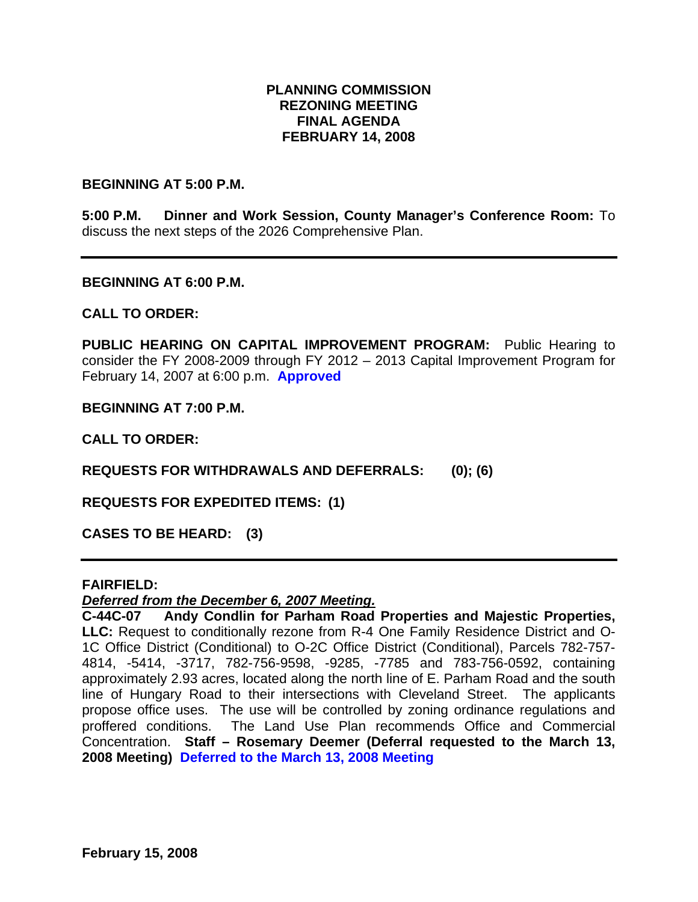### **PLANNING COMMISSION REZONING MEETING FINAL AGENDA FEBRUARY 14, 2008**

#### **BEGINNING AT 5:00 P.M.**

**5:00 P.M. Dinner and Work Session, County Manager's Conference Room:** To discuss the next steps of the 2026 Comprehensive Plan.

#### **BEGINNING AT 6:00 P.M.**

### **CALL TO ORDER:**

**PUBLIC HEARING ON CAPITAL IMPROVEMENT PROGRAM:** Public Hearing to consider the FY 2008-2009 through FY 2012 – 2013 Capital Improvement Program for February 14, 2007 at 6:00 p.m. **Approved** 

**BEGINNING AT 7:00 P.M.** 

**CALL TO ORDER:** 

**REQUESTS FOR WITHDRAWALS AND DEFERRALS: (0); (6)** 

**REQUESTS FOR EXPEDITED ITEMS: (1)** 

**CASES TO BE HEARD: (3)** 

#### **FAIRFIELD:**

#### *Deferred from the December 6, 2007 Meeting.*

**C-44C-07 Andy Condlin for Parham Road Properties and Majestic Properties, LLC:** Request to conditionally rezone from R-4 One Family Residence District and O-1C Office District (Conditional) to O-2C Office District (Conditional), Parcels 782-757- 4814, -5414, -3717, 782-756-9598, -9285, -7785 and 783-756-0592, containing approximately 2.93 acres, located along the north line of E. Parham Road and the south line of Hungary Road to their intersections with Cleveland Street. The applicants propose office uses. The use will be controlled by zoning ordinance regulations and proffered conditions. The Land Use Plan recommends Office and Commercial Concentration. **Staff – Rosemary Deemer (Deferral requested to the March 13, 2008 Meeting) Deferred to the March 13, 2008 Meeting**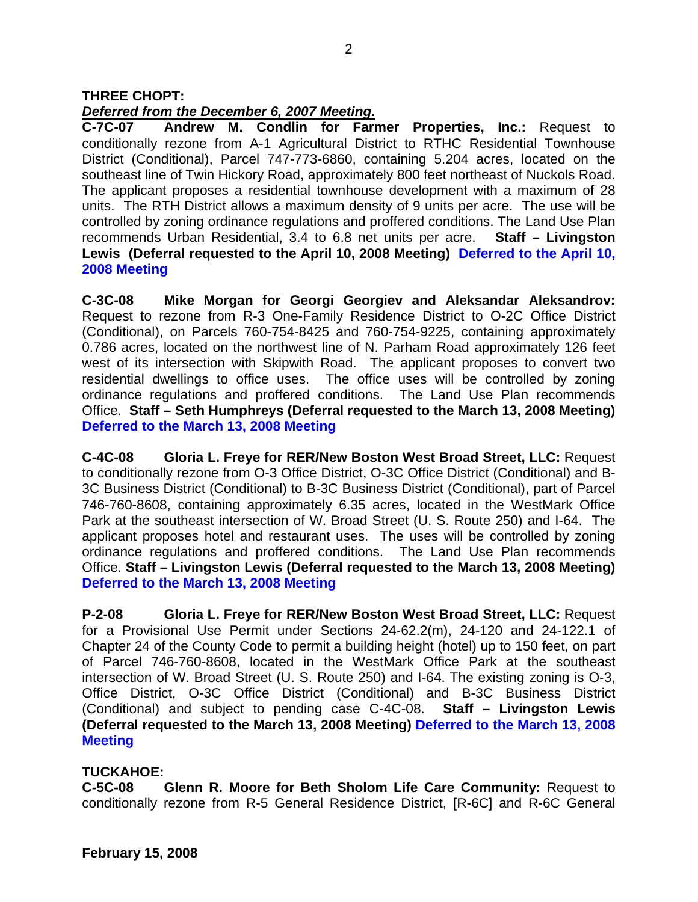## *Deferred from the December 6, 2007 Meeting.*

**C-7C-07 Andrew M. Condlin for Farmer Properties, Inc.:** Request to conditionally rezone from A-1 Agricultural District to RTHC Residential Townhouse District (Conditional), Parcel 747-773-6860, containing 5.204 acres, located on the southeast line of Twin Hickory Road, approximately 800 feet northeast of Nuckols Road. The applicant proposes a residential townhouse development with a maximum of 28 units. The RTH District allows a maximum density of 9 units per acre. The use will be controlled by zoning ordinance regulations and proffered conditions. The Land Use Plan recommends Urban Residential, 3.4 to 6.8 net units per acre. **Staff – Livingston Lewis (Deferral requested to the April 10, 2008 Meeting) Deferred to the April 10, 2008 Meeting** 

**C-3C-08 Mike Morgan for Georgi Georgiev and Aleksandar Aleksandrov:** Request to rezone from R-3 One-Family Residence District to O-2C Office District (Conditional), on Parcels 760-754-8425 and 760-754-9225, containing approximately 0.786 acres, located on the northwest line of N. Parham Road approximately 126 feet west of its intersection with Skipwith Road. The applicant proposes to convert two residential dwellings to office uses. The office uses will be controlled by zoning ordinance regulations and proffered conditions. The Land Use Plan recommends Office. **Staff – Seth Humphreys (Deferral requested to the March 13, 2008 Meeting) Deferred to the March 13, 2008 Meeting**

**C-4C-08 Gloria L. Freye for RER/New Boston West Broad Street, LLC:** Request to conditionally rezone from O-3 Office District, O-3C Office District (Conditional) and B-3C Business District (Conditional) to B-3C Business District (Conditional), part of Parcel 746-760-8608, containing approximately 6.35 acres, located in the WestMark Office Park at the southeast intersection of W. Broad Street (U. S. Route 250) and I-64. The applicant proposes hotel and restaurant uses. The uses will be controlled by zoning ordinance regulations and proffered conditions. The Land Use Plan recommends Office. **Staff – Livingston Lewis (Deferral requested to the March 13, 2008 Meeting) Deferred to the March 13, 2008 Meeting**

**P-2-08 Gloria L. Freye for RER/New Boston West Broad Street, LLC:** Request for a Provisional Use Permit under Sections 24-62.2(m), 24-120 and 24-122.1 of Chapter 24 of the County Code to permit a building height (hotel) up to 150 feet, on part of Parcel 746-760-8608, located in the WestMark Office Park at the southeast intersection of W. Broad Street (U. S. Route 250) and I-64. The existing zoning is O-3, Office District, O-3C Office District (Conditional) and B-3C Business District (Conditional) and subject to pending case C-4C-08. **Staff – Livingston Lewis (Deferral requested to the March 13, 2008 Meeting) Deferred to the March 13, 2008 Meeting**

## **TUCKAHOE:**

**C-5C-08 Glenn R. Moore for Beth Sholom Life Care Community:** Request to conditionally rezone from R-5 General Residence District, [R-6C] and R-6C General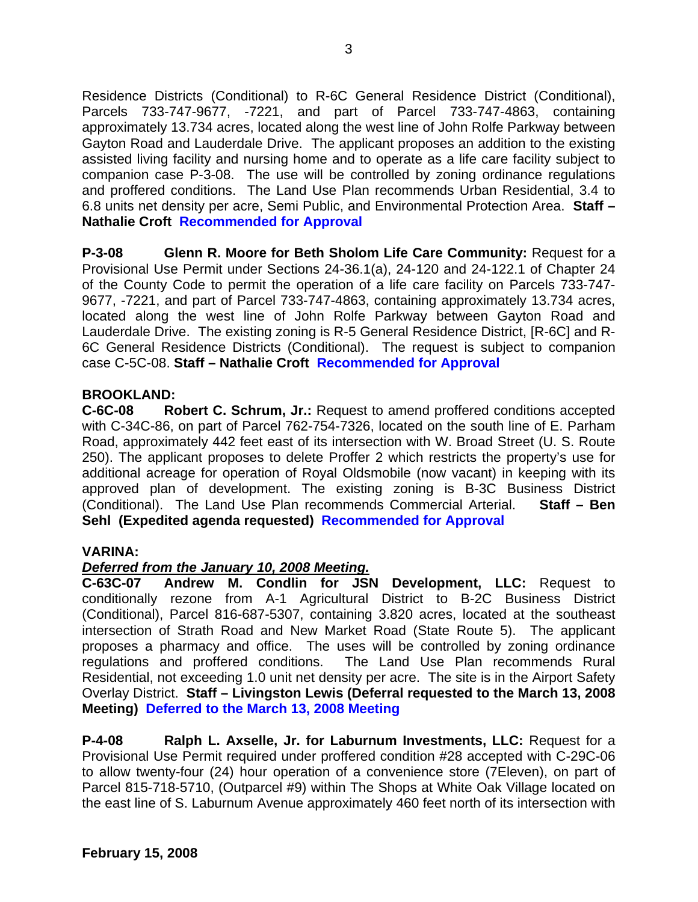Residence Districts (Conditional) to R-6C General Residence District (Conditional), Parcels 733-747-9677, -7221, and part of Parcel 733-747-4863, containing approximately 13.734 acres, located along the west line of John Rolfe Parkway between Gayton Road and Lauderdale Drive. The applicant proposes an addition to the existing assisted living facility and nursing home and to operate as a life care facility subject to companion case P-3-08. The use will be controlled by zoning ordinance regulations and proffered conditions. The Land Use Plan recommends Urban Residential, 3.4 to 6.8 units net density per acre, Semi Public, and Environmental Protection Area. **Staff – Nathalie Croft Recommended for Approval** 

**P-3-08 Glenn R. Moore for Beth Sholom Life Care Community:** Request for a Provisional Use Permit under Sections 24-36.1(a), 24-120 and 24-122.1 of Chapter 24 of the County Code to permit the operation of a life care facility on Parcels 733-747- 9677, -7221, and part of Parcel 733-747-4863, containing approximately 13.734 acres, located along the west line of John Rolfe Parkway between Gayton Road and Lauderdale Drive. The existing zoning is R-5 General Residence District, [R-6C] and R-6C General Residence Districts (Conditional). The request is subject to companion case C-5C-08. **Staff – Nathalie Croft Recommended for Approval**

## **BROOKLAND:**

**C-6C-08 Robert C. Schrum, Jr.:** Request to amend proffered conditions accepted with C-34C-86, on part of Parcel 762-754-7326, located on the south line of E. Parham Road, approximately 442 feet east of its intersection with W. Broad Street (U. S. Route 250). The applicant proposes to delete Proffer 2 which restricts the property's use for additional acreage for operation of Royal Oldsmobile (now vacant) in keeping with its approved plan of development. The existing zoning is B-3C Business District (Conditional). The Land Use Plan recommends Commercial Arterial. **Staff – Ben Sehl (Expedited agenda requested) Recommended for Approval**

### **VARINA:**

## *Deferred from the January 10, 2008 Meeting.*

**C-63C-07 Andrew M. Condlin for JSN Development, LLC:** Request to conditionally rezone from A-1 Agricultural District to B-2C Business District (Conditional), Parcel 816-687-5307, containing 3.820 acres, located at the southeast intersection of Strath Road and New Market Road (State Route 5). The applicant proposes a pharmacy and office. The uses will be controlled by zoning ordinance regulations and proffered conditions. The Land Use Plan recommends Rural Residential, not exceeding 1.0 unit net density per acre. The site is in the Airport Safety Overlay District. **Staff – Livingston Lewis (Deferral requested to the March 13, 2008 Meeting) Deferred to the March 13, 2008 Meeting**

**P-4-08 Ralph L. Axselle, Jr. for Laburnum Investments, LLC:** Request for a Provisional Use Permit required under proffered condition #28 accepted with C-29C-06 to allow twenty-four (24) hour operation of a convenience store (7Eleven), on part of Parcel 815-718-5710, (Outparcel #9) within The Shops at White Oak Village located on the east line of S. Laburnum Avenue approximately 460 feet north of its intersection with